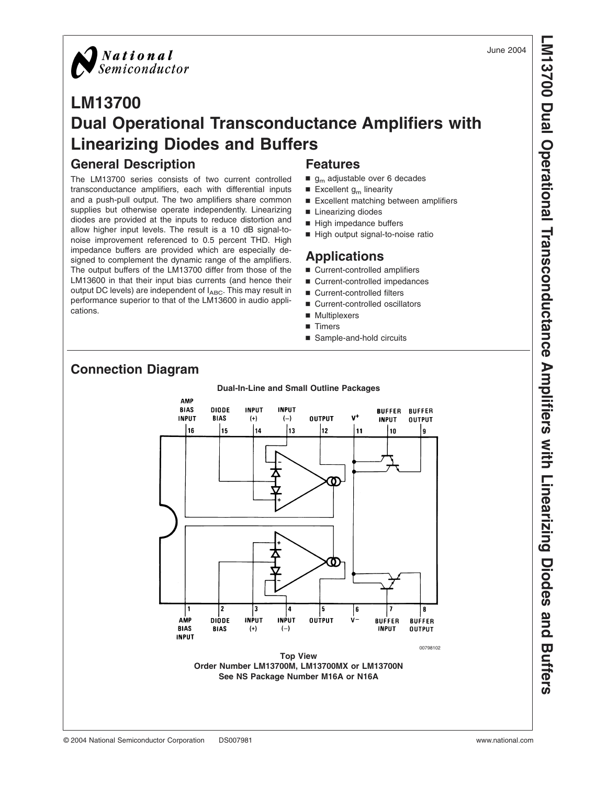



# **LM13700 Dual Operational Transconductance Amplifiers with Linearizing Diodes and Buffers**

# **General Description**

The LM13700 series consists of two current controlled transconductance amplifiers, each with differential inputs and a push-pull output. The two amplifiers share common supplies but otherwise operate independently. Linearizing diodes are provided at the inputs to reduce distortion and allow higher input levels. The result is a 10 dB signal-tonoise improvement referenced to 0.5 percent THD. High impedance buffers are provided which are especially designed to complement the dynamic range of the amplifiers. The output buffers of the LM13700 differ from those of the LM13600 in that their input bias currents (and hence their output DC levels) are independent of I<sub>ABC</sub>. This may result in performance superior to that of the LM13600 in audio applications.

#### **Features**

- $g<sub>m</sub>$  adjustable over 6 decades
- Excellent  $g_m$  linearity
- Excellent matching between amplifiers
- Linearizing diodes
- High impedance buffers
- High output signal-to-noise ratio

#### **Applications**

- Current-controlled amplifiers
- Current-controlled impedances
- Current-controlled filters
- Current-controlled oscillators
- Multiplexers
- **n** Timers
- Sample-and-hold circuits



# **Connection Diagram**

# **LM13700 Dual Operational Transconductance Amplifiers with Linearizing Diodes and Buffers**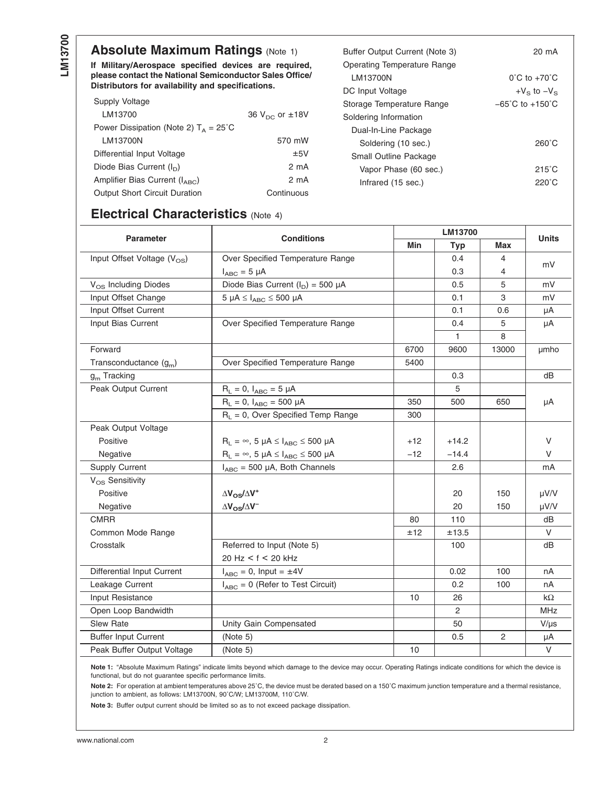# **Absolute Maximum Ratings (Note 1)**

**If Military/Aerospace specified devices are required, please contact the National Semiconductor Sales Office/ Distributors for availability and specifications.**

| Supply Voltage                                  |                          |
|-------------------------------------------------|--------------------------|
| LM13700                                         | 36 $V_{DC}$ or $\pm$ 18V |
| Power Dissipation (Note 2) $T_A = 25^{\circ}$ C |                          |
| LM13700N                                        | 570 mW                   |
| Differential Input Voltage                      | ±5V                      |
| Diode Bias Current $(I_n)$                      | 2 mA                     |
| Amplifier Bias Current $(I_{ABC})$              | 2 mA                     |
| <b>Output Short Circuit Duration</b>            | Continuous               |

| Buffer Output Current (Note 3)     | 20 mA                               |
|------------------------------------|-------------------------------------|
| <b>Operating Temperature Range</b> |                                     |
| LM13700N                           | $0^{\circ}$ C to $+70^{\circ}$ C    |
| DC Input Voltage                   | +V <sub>s</sub> to $-V_s$           |
| Storage Temperature Range          | $-65^{\circ}$ C to $+150^{\circ}$ C |
| Soldering Information              |                                     |
| Dual-In-Line Package               |                                     |
| Soldering (10 sec.)                | 260°C                               |
| Small Outline Package              |                                     |
| Vapor Phase (60 sec.)              | $215^\circ$ C                       |
| Infrared (15 sec.)                 | 220°C                               |

# **Electrical Characteristics** [\(Note 4\)](#page-2-0)

| <b>Parameter</b>                 | <b>Conditions</b>                                      |       | LM13700    |              |              |
|----------------------------------|--------------------------------------------------------|-------|------------|--------------|--------------|
|                                  |                                                        | Min   | <b>Typ</b> | Max          | <b>Units</b> |
| Input Offset Voltage $(V_{OS})$  | Over Specified Temperature Range                       |       | 0.4        | 4            |              |
|                                  | $I_{ABC}$ = 5 µA                                       |       | 0.3        | 4            | mV           |
| V <sub>OS</sub> Including Diodes | Diode Bias Current $(I_D) = 500 \mu A$                 |       | 0.5        | 5            | mV           |
| Input Offset Change              | $5 \mu A \leq I_{ABC} \leq 500 \mu A$                  |       | 0.1        | $\,3$        | mV           |
| Input Offset Current             |                                                        |       | 0.1        | 0.6          | μA           |
| Input Bias Current               | Over Specified Temperature Range                       |       | 0.4        | 5            | μA           |
|                                  |                                                        |       | 1          | 8            |              |
| Forward                          |                                                        | 6700  | 9600       | 13000        | umho         |
| Transconductance $(g_m)$         | Over Specified Temperature Range                       | 5400  |            |              |              |
| $gm$ Tracking                    |                                                        |       | 0.3        |              | dB           |
| Peak Output Current              | $R_L = 0$ , $I_{ABC} = 5 \mu A$                        |       | 5          |              |              |
|                                  | $R_L = 0$ , $I_{ABC} = 500 \mu A$                      | 350   | 500        | 650          | μA           |
|                                  | $R_L = 0$ , Over Specified Temp Range                  | 300   |            |              |              |
| Peak Output Voltage              |                                                        |       |            |              |              |
| Positive                         | $R_L = \infty$ , 5 µA $\leq$ $I_{ABC} \leq$ 500 µA     | $+12$ | $+14.2$    |              | V            |
| Negative                         | $R_L = \infty$ , 5 $\mu A \leq I_{ABC} \leq 500 \mu A$ | $-12$ | $-14.4$    |              | $\vee$       |
| <b>Supply Current</b>            | $I_{ABC}$ = 500 µA, Both Channels                      |       | 2.6        |              | mA           |
| $V_{OS}$ Sensitivity             |                                                        |       |            |              |              |
| Positive                         | $\Delta V_{OS}/\Delta V^+$                             |       | 20         | 150          | µV/V         |
| Negative                         | $\Delta V_{OS}/\Delta V^{-}$                           |       | 20         | 150          | $\mu$ V/V    |
| <b>CMRR</b>                      |                                                        | 80    | 110        |              | dB           |
| Common Mode Range                |                                                        | ±12   | ±13.5      |              | V            |
| Crosstalk                        | Referred to Input (Note 5)                             |       | 100        |              | dB           |
|                                  | $20$ Hz < f < 20 kHz                                   |       |            |              |              |
| Differential Input Current       | $I_{ABC} = 0$ , Input = $\pm 4V$                       |       | 0.02       | 100          | nA           |
| Leakage Current                  | $I_{ABC} = 0$ (Refer to Test Circuit)                  |       | 0.2        | 100          | nA           |
| Input Resistance                 |                                                        | 10    | 26         |              | $k\Omega$    |
| Open Loop Bandwidth              |                                                        |       | 2          |              | <b>MHz</b>   |
| <b>Slew Rate</b>                 | Unity Gain Compensated                                 |       | 50         |              | $V/\mu s$    |
| <b>Buffer Input Current</b>      | (Note 5)                                               |       | 0.5        | $\mathbf{2}$ | μA           |
| Peak Buffer Output Voltage       | (Note 5)                                               | 10    |            |              | $\vee$       |

**Note 1:** "Absolute Maximum Ratings" indicate limits beyond which damage to the device may occur. Operating Ratings indicate conditions for which the device is functional, but do not guarantee specific performance limits.

Note 2: For operation at ambient temperatures above 25°C, the device must be derated based on a 150°C maximum junction temperature and a thermal resistance, junction to ambient, as follows: LM13700N, 90˚C/W; LM13700M, 110˚C/W.

**Note 3:** Buffer output current should be limited so as to not exceed package dissipation.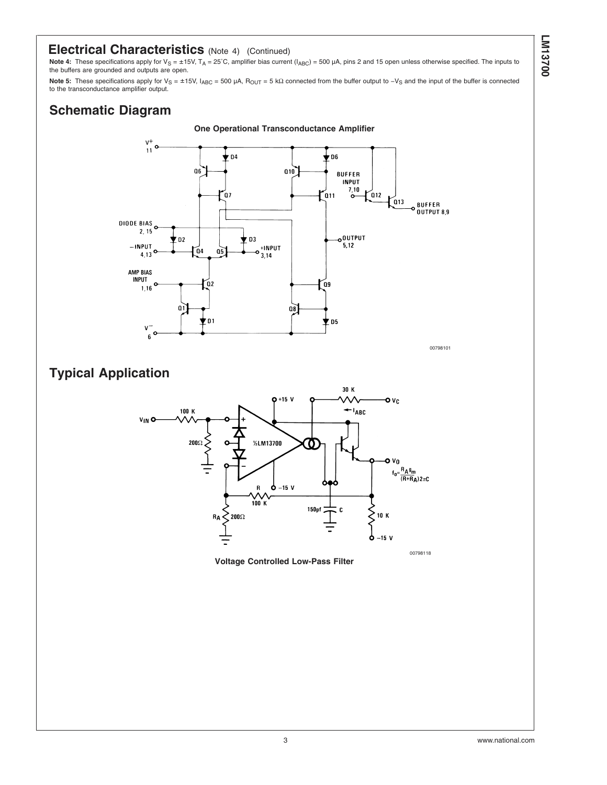#### <span id="page-2-0"></span>**Electrical Characteristics** (Note 4) (Continued)

Note 4: These specifications apply for V<sub>S</sub> = ±15V, T<sub>A</sub> = 25°C, amplifier bias current (I<sub>ABC</sub>) = 500 µA, pins 2 and 15 open unless otherwise specified. The inputs to the buffers are grounded and outputs are open.

Note 5: These specifications apply for V<sub>S</sub> = ±15V, I<sub>ABC</sub> = 500 μA, R<sub>OUT</sub> = 5 kΩ connected from the buffer output to -V<sub>S</sub> and the input of the buffer is connected to the transconductance amplifier output.

# **Schematic Diagram**



00798101

# **Typical Application**



**Voltage Controlled Low-Pass Filter**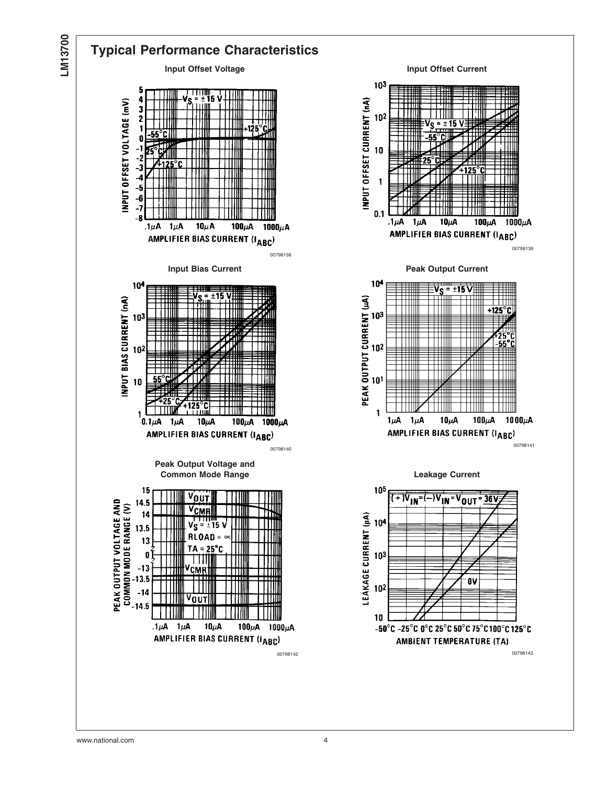

#### **Typical Performance Characteristics Input Offset Voltage Input Offset Current** 103 5 INPUT OFFSET CURRENT (nA) INPUT OFFSET VOLTAGE (mV) 102 65 ∘rl  $10$ -3 -4  $\mathbf{1}$ -5 -6  $-7$  $0.1$ -8  $10\mu$ A 100 $\mu$ A 1000 $\mu$ A  $.1\mu$ A  $1\mu$ A AMPLIFIER BIAS CURRENT (IABC) 00798138 **Input Bias Current Current Current Current Peak Output Current**  $10<sup>4</sup>$ 104  $\sqrt{S_{\rm max} - 15}$ PEAK OUTPUT CURRENT (المبر) INPUT BIAS CURRENT (nA) 103  $10<sup>2</sup>$ 10  $\mathbf{1}$  $0.1\mu$ A  $1\mu$ A  $10\mu$ A 100 $\mu$ A 1000 $\mu$ A AMPLIFIER BIAS CURRENT (IABC) **Peak Output Voltage and Common Mode Range Current** Common Mode Range 15 105 VOUT PEAK OUTPUT VOLTAGE AND  $14.1$ COMMON MODE RANGE (V) VCMR 14 LEAKAGE CURRENT (pA)<br> $\frac{1}{6}$ <br> $\frac{1}{6}$ <br> $\frac{1}{6}$  $V_S = \pm 15$ 13.5 **RLOAD** 13  $TA = 25^{\circ}C$  $\mathbf 0$ -H  $-13$ VCMR  $-13.5$  $-14$ V<sub>OUT</sub> -14.5  $10$  $.1\mu$ A  $1\mu$ A  $10\mu$ A 100 $\mu$ A 1000 $\mu$ A AMPLIFIER BIAS CURRENT (IABC) 00798142 00798143

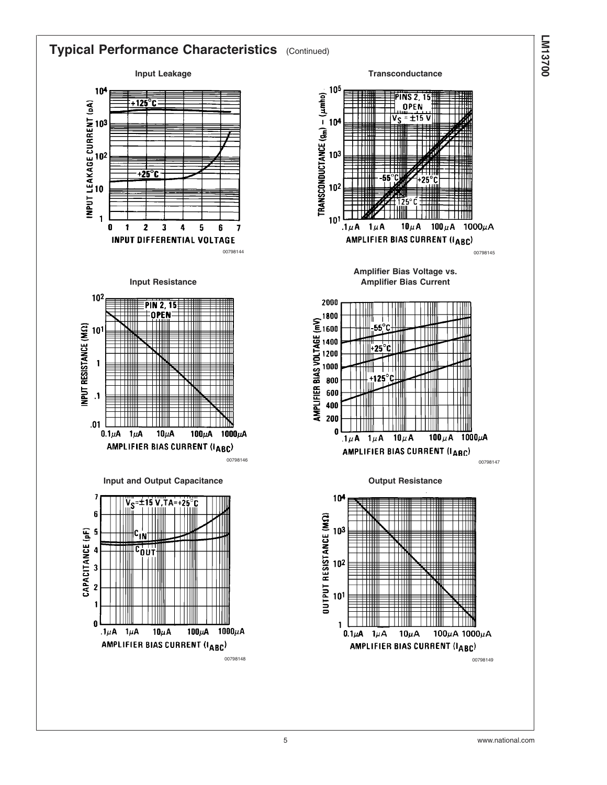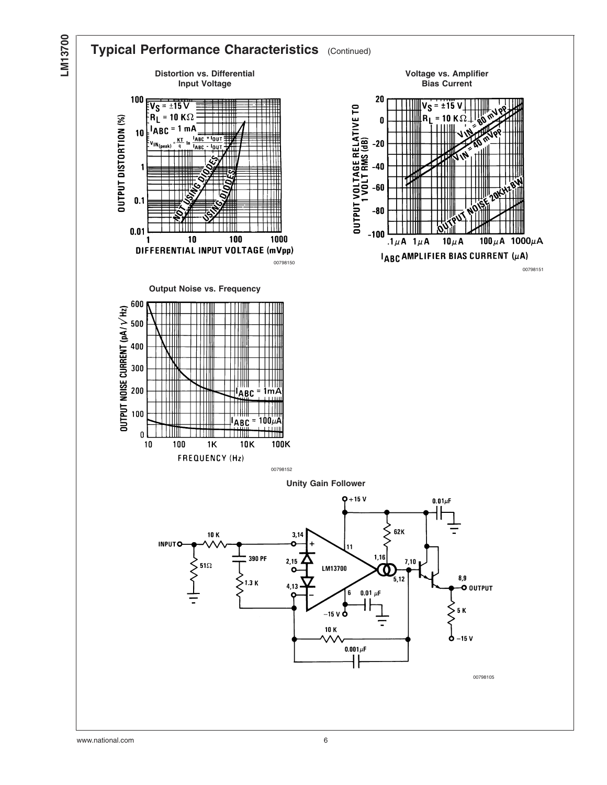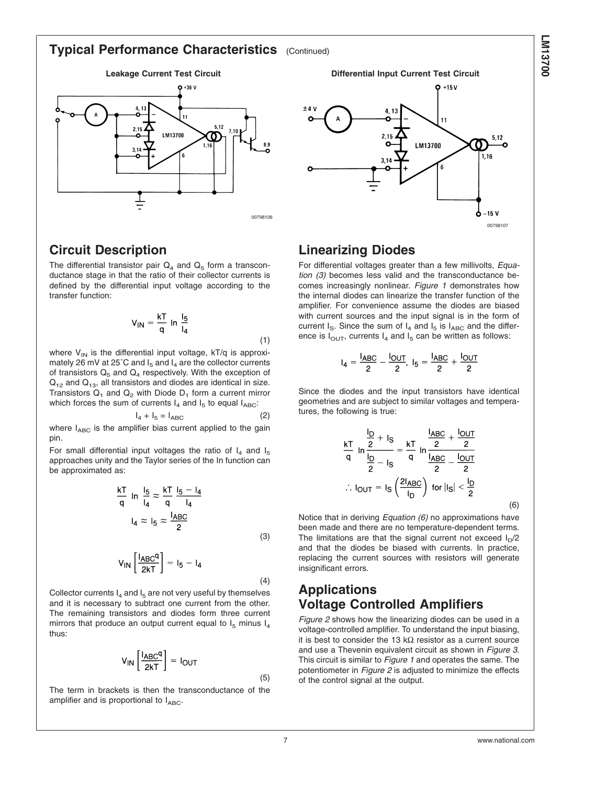#### <span id="page-6-0"></span>**Typical Performance Characteristics** (Continued)



#### **Circuit Description**

The differential transistor pair  $Q_4$  and  $Q_5$  form a transconductance stage in that the ratio of their collector currents is defined by the differential input voltage according to the transfer function:

$$
V_{IN} = \frac{kT}{q} \ln \frac{I_5}{I_4}
$$
 (1)

where  $V_{IN}$  is the differential input voltage,  $kT/q$  is approximately 26 mV at 25°C and  $I_5$  and  $I_4$  are the collector currents of transistors  $Q_5$  and  $Q_4$  respectively. With the exception of  $Q_{12}$  and  $Q_{13}$ , all transistors and diodes are identical in size. Transistors  $Q_1$  and  $Q_2$  with Diode  $D_1$  form a current mirror which forces the sum of currents  $I_4$  and  $I_5$  to equal  $I_{ABC}$ :

$$
I_4 + I_5 = I_{ABC} \tag{2}
$$

where  $I_{ABC}$  is the amplifier bias current applied to the gain pin.

For small differential input voltages the ratio of  $I_4$  and  $I_5$ approaches unity and the Taylor series of the In function can be approximated as:

$$
\frac{kT}{q} \ln \frac{I_5}{I_4} \approx \frac{kT}{q} \frac{I_5 - I_4}{I_4}
$$

$$
I_4 \approx I_5 \approx \frac{I_{ABC}}{2}
$$
(3)

$$
V_{IN} \left[ \frac{I_{ABC}q}{2kT} \right] = I_5 - I_4 \tag{4}
$$

Collector currents  $I_4$  and  $I_5$  are not very useful by themselves and it is necessary to subtract one current from the other. The remaining transistors and diodes form three current mirrors that produce an output current equal to  $I_5$  minus  $I_4$ thus:

$$
V_{IN} \left[ \frac{I_{ABC}q}{2kT} \right] = I_{OUT}
$$

The term in brackets is then the transconductance of the amplifier and is proportional to  $I_{ABC}$ .

 $O + 15V$  $4.13$ 11 5 1 2 LM13700 Ω 1 1 R  $-15V$ 00798107

#### **Linearizing Diodes**

For differential voltages greater than a few millivolts, *Equation (3)* becomes less valid and the transconductance becomes increasingly nonlinear. *[Figure 1](#page-7-0)* demonstrates how the internal diodes can linearize the transfer function of the amplifier. For convenience assume the diodes are biased with current sources and the input signal is in the form of current  $I_S$ . Since the sum of  $I_4$  and  $I_5$  is  $I_{ABC}$  and the difference is  $I_{\text{OUT}}$ , currents  $I_4$  and  $I_5$  can be written as follows:

$$
I_4 = \frac{I_{ABC}}{2} - \frac{I_{OUT}}{2}, I_5 = \frac{I_{ABC}}{2} + \frac{I_{OUT}}{2}
$$

Since the diodes and the input transistors have identical geometries and are subject to similar voltages and temperatures, the following is true:

$$
\frac{kT}{q} \ln \frac{\frac{I_D}{2} + I_S}{\frac{I_D}{2} - I_S} = \frac{kT}{q} \ln \frac{\frac{I_{ABC}}{2} + \frac{I_{OUT}}{2}}{\frac{I_{ABC}}{2} - \frac{I_{OUT}}{2}}
$$
  
:. I<sub>OUT</sub> = I<sub>S</sub>  $\left(\frac{2I_{ABC}}{I_D}\right)$  for |I<sub>S</sub>|  $\leq \frac{I_D}{2}$ 

(6)

Notice that in deriving *Equation (6)* no approximations have been made and there are no temperature-dependent terms. The limitations are that the signal current not exceed  $I<sub>D</sub>/2$ and that the diodes be biased with currents. In practice, replacing the current sources with resistors will generate insignificant errors.

# **Applications Voltage Controlled Amplifiers**

*[Figure 2](#page-7-0)* shows how the linearizing diodes can be used in a voltage-controlled amplifier. To understand the input biasing, it is best to consider the 13 k $\Omega$  resistor as a current source and use a Thevenin equivalent circuit as shown in *[Figure 3](#page-8-0)*. This circuit is similar to *[Figure 1](#page-7-0)* and operates the same. The potentiometer in *[Figure 2](#page-7-0)* is adjusted to minimize the effects of the control signal at the output.

(5)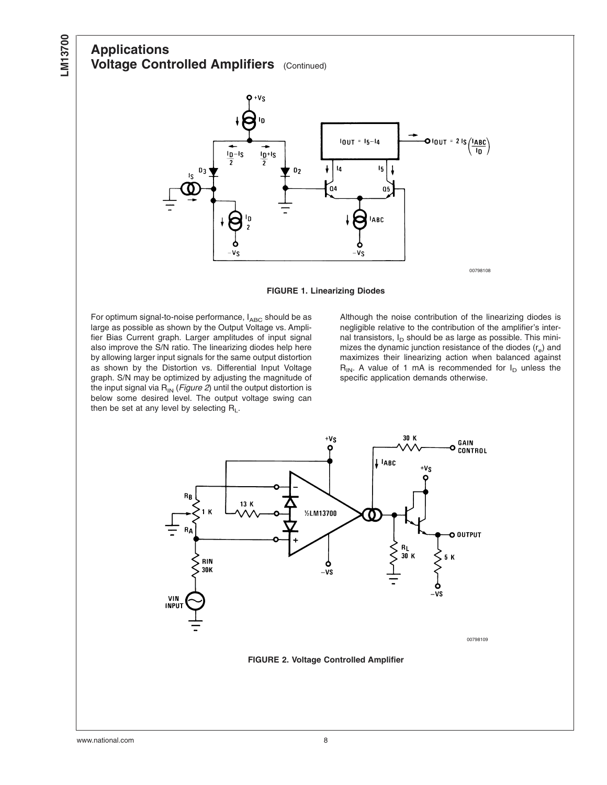# <span id="page-7-0"></span>**Applications Voltage Controlled Amplifiers** (Continued)



**FIGURE 1. Linearizing Diodes**

For optimum signal-to-noise performance,  $I_{ABC}$  should be as large as possible as shown by the Output Voltage vs. Amplifier Bias Current graph. Larger amplitudes of input signal also improve the S/N ratio. The linearizing diodes help here by allowing larger input signals for the same output distortion as shown by the Distortion vs. Differential Input Voltage graph. S/N may be optimized by adjusting the magnitude of the input signal via  $R_{IN}$  (*Figure 2*) until the output distortion is below some desired level. The output voltage swing can then be set at any level by selecting  $R_L$ .

Although the noise contribution of the linearizing diodes is negligible relative to the contribution of the amplifier's internal transistors,  $I_D$  should be as large as possible. This minimizes the dynamic junction resistance of the diodes  $(r<sub>e</sub>)$  and maximizes their linearizing action when balanced against  $R_{IN}$ . A value of 1 mA is recommended for  $I_D$  unless the specific application demands otherwise.

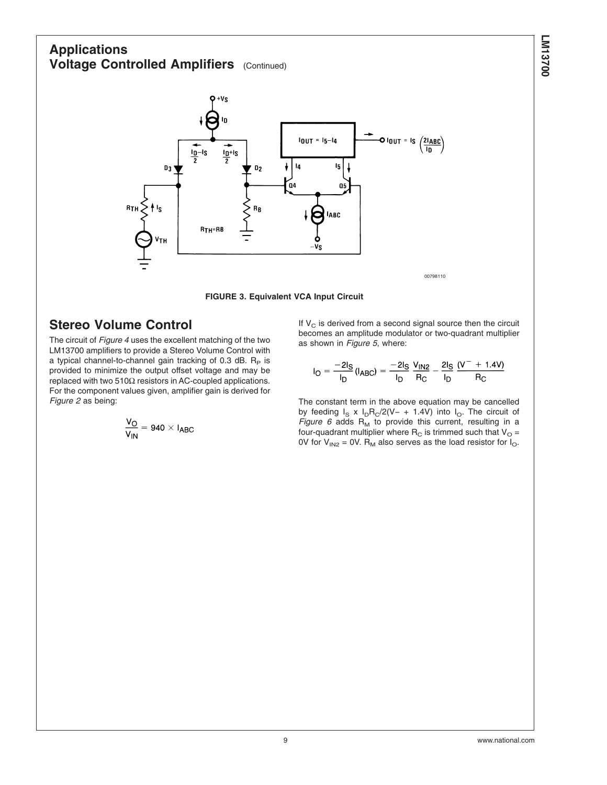# <span id="page-8-0"></span>**Applications Voltage Controlled Amplifiers** (Continued)



**FIGURE 3. Equivalent VCA Input Circuit**

# **Stereo Volume Control**

The circuit of *[Figure 4](#page-9-0)* uses the excellent matching of the two LM13700 amplifiers to provide a Stereo Volume Control with a typical channel-to-channel gain tracking of 0.3 dB.  $R<sub>P</sub>$  is provided to minimize the output offset voltage and may be replaced with two 510Ω resistors in AC-coupled applications. For the component values given, amplifier gain is derived for *[Figure 2](#page-7-0)* as being:

$$
\frac{V_O}{V_{IN}} = 940 \times I_{ABC}
$$

If  $V_c$  is derived from a second signal source then the circuit becomes an amplitude modulator or two-quadrant multiplier as shown in *[Figure 5](#page-9-0)*, where:

$$
I_{\rm O} = \frac{-2I_{\rm S}}{I_{\rm D}} (I_{\rm ABC}) = \frac{-2I_{\rm S}}{I_{\rm D}} \frac{V_{\rm IN2}}{R_{\rm C}} - \frac{2I_{\rm S}}{I_{\rm D}} \frac{(V^{-} + 1.4V)}{R_{\rm C}}
$$

The constant term in the above equation may be cancelled by feeding  $I_S \times I_D R_C/2(V- + 1.4V)$  into  $I_O$ . The circuit of *[Figure 6](#page-10-0)* adds  $R_M$  to provide this current, resulting in a four-quadrant multiplier where  $R_C$  is trimmed such that  $V_O =$ 0V for  $V_{1N2}$  = 0V. R<sub>M</sub> also serves as the load resistor for  $I_{\text{O}}$ .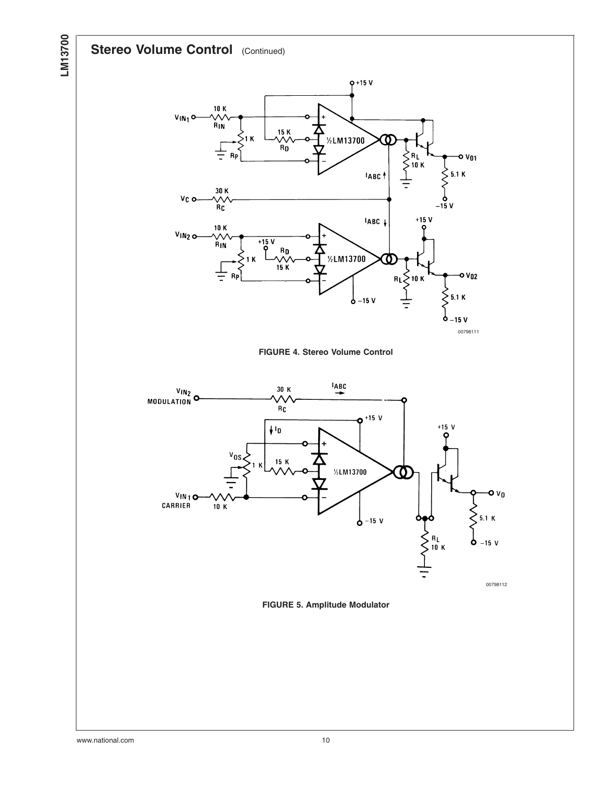# <span id="page-9-0"></span>**Stereo Volume Control** (Continued)







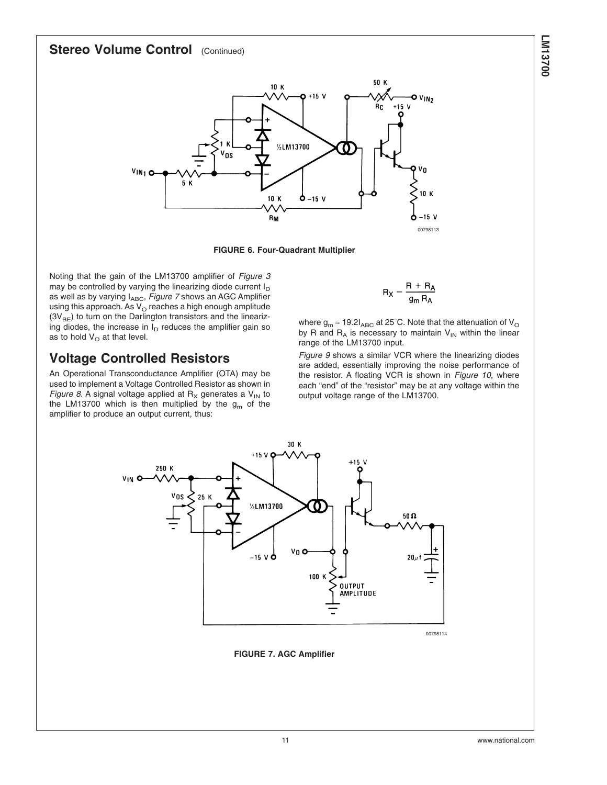#### <span id="page-10-0"></span>**Stereo Volume Control** (Continued)



**FIGURE 6. Four-Quadrant Multiplier**

Noting that the gain of the LM13700 amplifier of *[Figure 3](#page-8-0)* may be controlled by varying the linearizing diode current  $I_D$ as well as by varying I<sub>ABC</sub>, *Figure 7* shows an AGC Amplifier using this approach. As  $V_{\rm O}$  reaches a high enough amplitude  $(3V_{BE})$  to turn on the Darlington transistors and the linearizing diodes, the increase in  $I_D$  reduces the amplifier gain so as to hold  $V_{\rm O}$  at that level.

# **Voltage Controlled Resistors**

An Operational Transconductance Amplifier (OTA) may be used to implement a Voltage Controlled Resistor as shown in *[Figure 8](#page-11-0).* A signal voltage applied at  $R_X$  generates a  $V_{IN}$  to the LM13700 which is then multiplied by the  $g_m$  of the amplifier to produce an output current, thus:

$$
R_X = \frac{R + R_A}{g_m R_A}
$$

where  $g_m \approx 19.2I_{ABC}$  at 25°C. Note that the attenuation of V<sub>O</sub> by R and  $R_A$  is necessary to maintain  $V_{IN}$  within the linear range of the LM13700 input.

*[Figure 9](#page-11-0)* shows a similar VCR where the linearizing diodes are added, essentially improving the noise performance of the resistor. A floating VCR is shown in *[Figure 10](#page-12-0)*, where each "end" of the "resistor" may be at any voltage within the output voltage range of the LM13700.



**FIGURE 7. AGC Amplifier**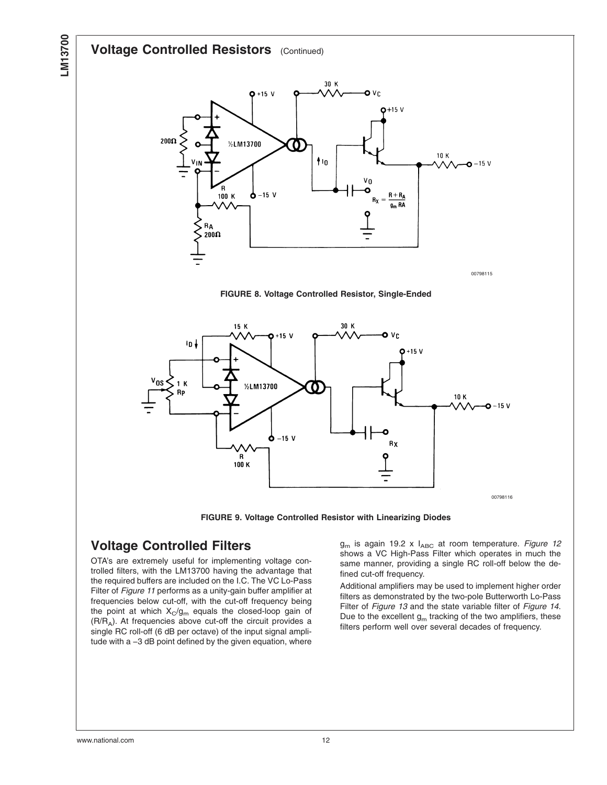## <span id="page-11-0"></span>**Voltage Controlled Resistors** (Continued)



**FIGURE 8. Voltage Controlled Resistor, Single-Ended**



**FIGURE 9. Voltage Controlled Resistor with Linearizing Diodes**

# **Voltage Controlled Filters**

OTA's are extremely useful for implementing voltage controlled filters, with the LM13700 having the advantage that the required buffers are included on the I.C. The VC Lo-Pass Filter of *[Figure 11](#page-12-0)* performs as a unity-gain buffer amplifier at frequencies below cut-off, with the cut-off frequency being the point at which  $X_C/g_m$  equals the closed-loop gain of (R/RA). At frequencies above cut-off the circuit provides a single RC roll-off (6 dB per octave) of the input signal amplitude with a −3 dB point defined by the given equation, where

g<sub>m</sub> is again 19.2 x I<sub>ABC</sub> at room temperature. *[Figure 12](#page-13-0)* shows a VC High-Pass Filter which operates in much the same manner, providing a single RC roll-off below the defined cut-off frequency.

Additional amplifiers may be used to implement higher order filters as demonstrated by the two-pole Butterworth Lo-Pass Filter of *[Figure 13](#page-13-0)* and the state variable filter of *[Figure 14](#page-14-0)*. Due to the excellent  $g_m$  tracking of the two amplifiers, these filters perform well over several decades of frequency.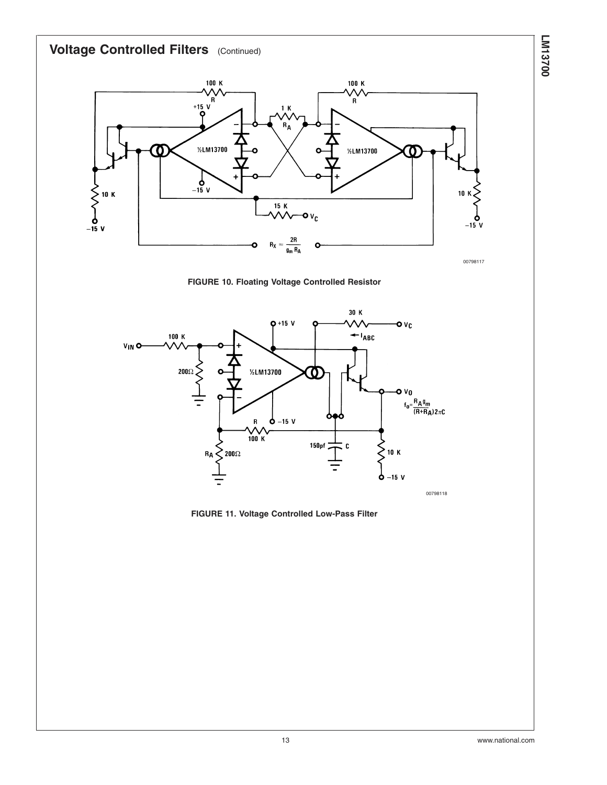<span id="page-12-0"></span>

**FIGURE 10. Floating Voltage Controlled Resistor**



**FIGURE 11. Voltage Controlled Low-Pass Filter**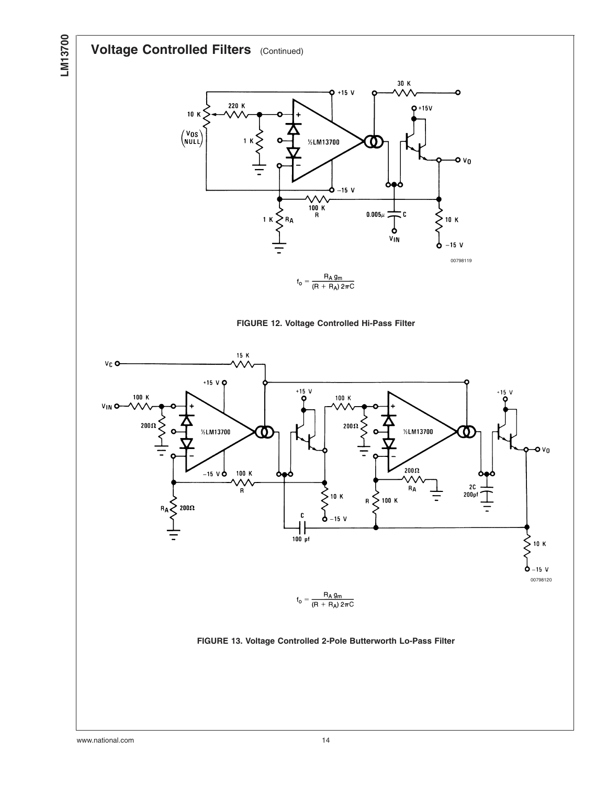# **Voltage Controlled Filters** (Continued)

**LM13700**

<span id="page-13-0"></span>LM13700



 $\bullet v_0$ 

10 K

**FIGURE 13. Voltage Controlled 2-Pole Butterworth Lo-Pass Filter**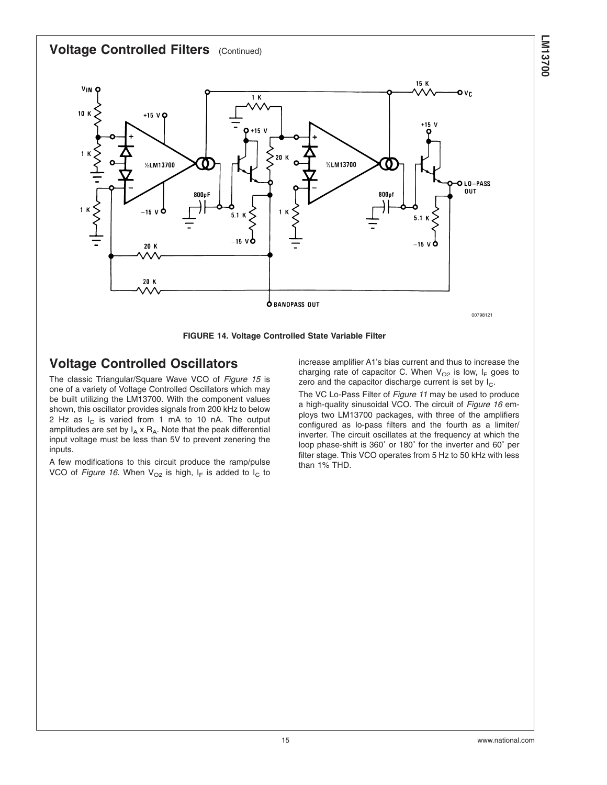#### <span id="page-14-0"></span>**Voltage Controlled Filters** (Continued)



# **Voltage Controlled Oscillators**

The classic Triangular/Square Wave VCO of *[Figure 15](#page-15-0)* is one of a variety of Voltage Controlled Oscillators which may be built utilizing the LM13700. With the component values shown, this oscillator provides signals from 200 kHz to below 2 Hz as  $I_c$  is varied from 1 mA to 10 nA. The output amplitudes are set by  $I_A \times R_A$ . Note that the peak differential input voltage must be less than 5V to prevent zenering the inputs.

A few modifications to this circuit produce the ramp/pulse VCO of *[Figure 16](#page-15-0)*. When  $V_{O2}$  is high,  $I_F$  is added to  $I_C$  to increase amplifier A1's bias current and thus to increase the charging rate of capacitor C. When  $V_{O2}$  is low,  $I_F$  goes to zero and the capacitor discharge current is set by  $I_C$ .

The VC Lo-Pass Filter of *[Figure 11](#page-12-0)* may be used to produce a high-quality sinusoidal VCO. The circuit of *[Figure 16](#page-15-0)* employs two LM13700 packages, with three of the amplifiers configured as lo-pass filters and the fourth as a limiter/ inverter. The circuit oscillates at the frequency at which the loop phase-shift is 360˚ or 180˚ for the inverter and 60˚ per filter stage. This VCO operates from 5 Hz to 50 kHz with less than 1% THD.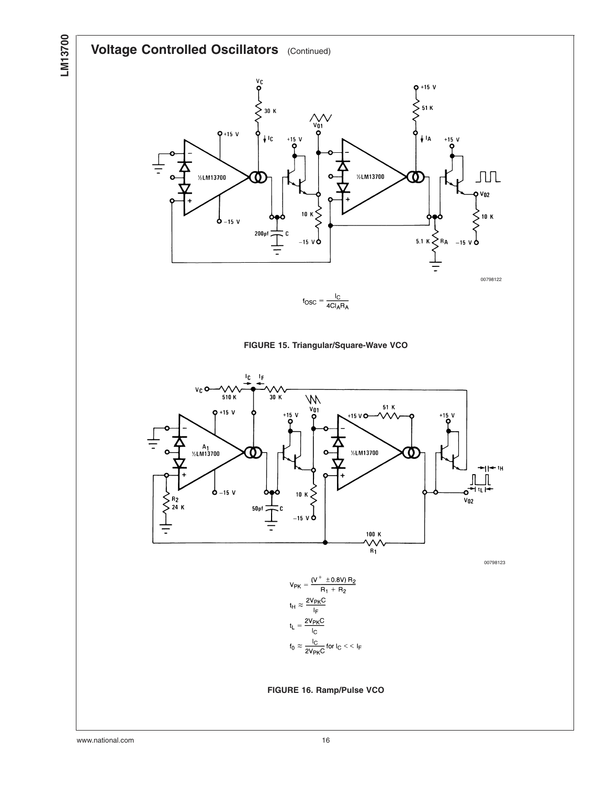# <span id="page-15-0"></span>**Voltage Controlled Oscillators** (Continued)



 $f_{\text{OSC}} = \frac{I_C}{4CI_A R_A}$ 





00798123



**FIGURE 16. Ramp/Pulse VCO**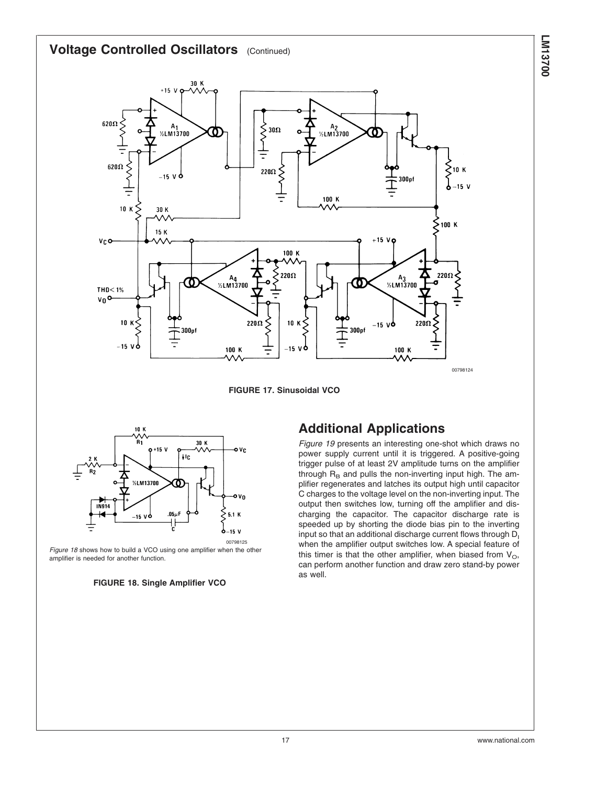<span id="page-16-0"></span>



00798125 *Figure 18* shows how to build a VCO using one amplifier when the other amplifier is needed for another function.



# **Additional Applications**

*[Figure 19](#page-17-0)* presents an interesting one-shot which draws no power supply current until it is triggered. A positive-going trigger pulse of at least 2V amplitude turns on the amplifier through  $R_B$  and pulls the non-inverting input high. The amplifier regenerates and latches its output high until capacitor C charges to the voltage level on the non-inverting input. The output then switches low, turning off the amplifier and discharging the capacitor. The capacitor discharge rate is speeded up by shorting the diode bias pin to the inverting input so that an additional discharge current flows through  $D<sub>1</sub>$ when the amplifier output switches low. A special feature of this timer is that the other amplifier, when biased from  $V_{\Omega}$ , can perform another function and draw zero stand-by power as well.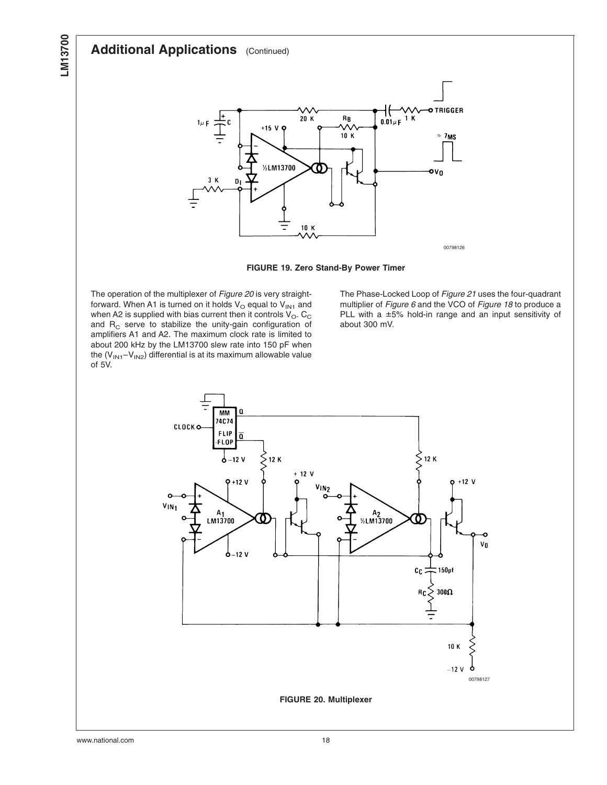<span id="page-17-0"></span>



The operation of the multiplexer of *Figure 20* is very straightforward. When A1 is turned on it holds  $V_{O}$  equal to  $V_{IN1}$  and when A2 is supplied with bias current then it controls  $V_{\rm O}$ . C<sub>C</sub> and  $R_C$  serve to stabilize the unity-gain configuration of amplifiers A1 and A2. The maximum clock rate is limited to about 200 kHz by the LM13700 slew rate into 150 pF when the  $(V_{1N1}-V_{1N2})$  differential is at its maximum allowable value of 5V.

The Phase-Locked Loop of *[Figure 21](#page-18-0)* uses the four-quadrant multiplier of *[Figure 6](#page-10-0)* and the VCO of *[Figure 18](#page-16-0)* to produce a PLL with a ±5% hold-in range and an input sensitivity of about 300 mV.

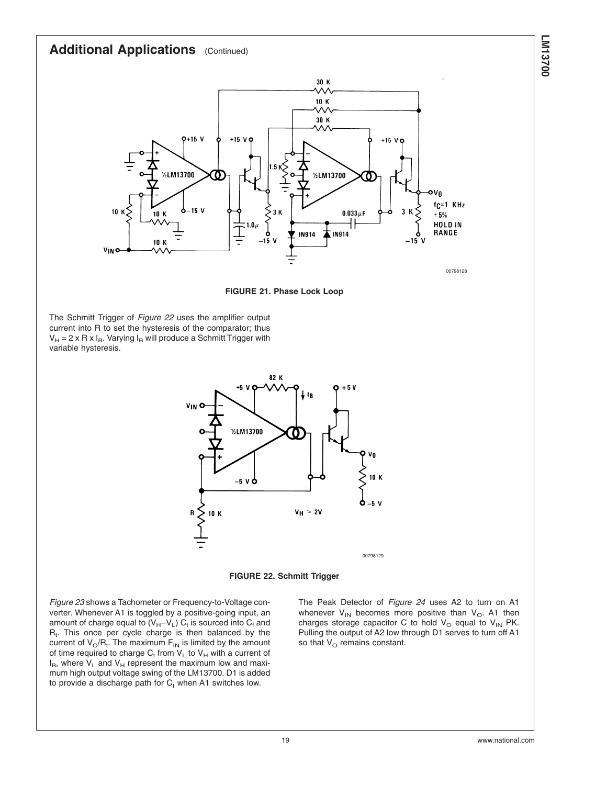<span id="page-18-0"></span>

**FIGURE 21. Phase Lock Loop**

The Schmitt Trigger of *Figure 22* uses the amplifier output current into R to set the hysteresis of the comparator; thus  $V_H = 2 \times R \times I_B$ . Varying  $I_B$  will produce a Schmitt Trigger with variable hysteresis.





*[Figure 23](#page-19-0)* shows a Tachometer or Frequency-to-Voltage converter. Whenever A1 is toggled by a positive-going input, an amount of charge equal to  $(V_H - V_L)$  C<sub>t</sub> is sourced into C<sub>f</sub> and  $R_t$ . This once per cycle charge is then balanced by the current of  $\mathrm{V_{O}/R_{t}.}$  The maximum  $\mathrm{F_{IN}}$  is limited by the amount of time required to charge  $C_t$  from  $V_L$  to  $V_H$  with a current of  $I_B$ , where  $V_L$  and  $V_H$  represent the maximum low and maximum high output voltage swing of the LM13700. D1 is added to provide a discharge path for  $C_t$  when A1 switches low.

The Peak Detector of *[Figure 24](#page-19-0)* uses A2 to turn on A1 whenever  $V_{1N}$  becomes more positive than  $V_{O}$ . A1 then charges storage capacitor C to hold  $V_{O}$  equal to  $V_{IN}$  PK. Pulling the output of A2 low through D1 serves to turn off A1 so that  $V_{\text{O}}$  remains constant.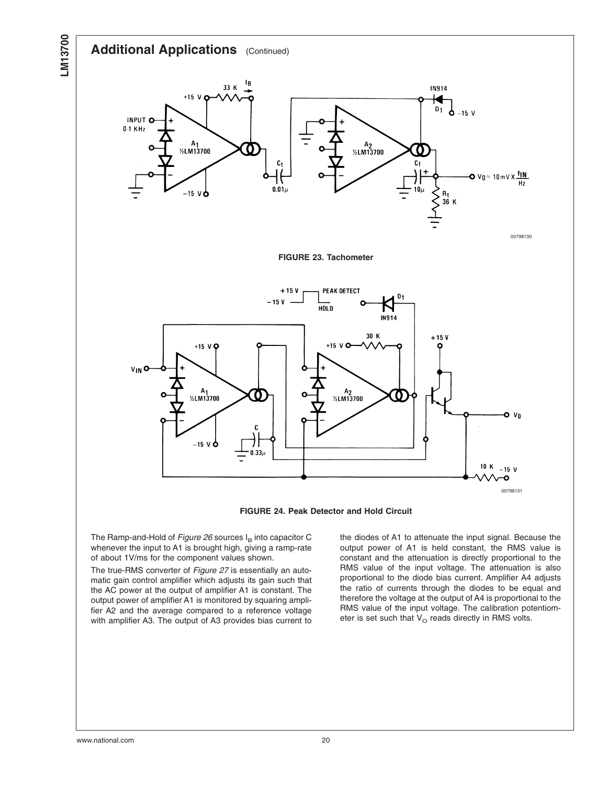<span id="page-19-0"></span>

**FIGURE 23. Tachometer**





The Ramp-and-Hold of *[Figure 26](#page-20-0)* sources I<sub>B</sub> into capacitor C whenever the input to A1 is brought high, giving a ramp-rate of about 1V/ms for the component values shown.

The true-RMS converter of *[Figure 27](#page-21-0)* is essentially an automatic gain control amplifier which adjusts its gain such that the AC power at the output of amplifier A1 is constant. The output power of amplifier A1 is monitored by squaring amplifier A2 and the average compared to a reference voltage with amplifier A3. The output of A3 provides bias current to

the diodes of A1 to attenuate the input signal. Because the output power of A1 is held constant, the RMS value is constant and the attenuation is directly proportional to the RMS value of the input voltage. The attenuation is also proportional to the diode bias current. Amplifier A4 adjusts the ratio of currents through the diodes to be equal and therefore the voltage at the output of A4 is proportional to the RMS value of the input voltage. The calibration potentiometer is set such that  $V_{\rm O}$  reads directly in RMS volts.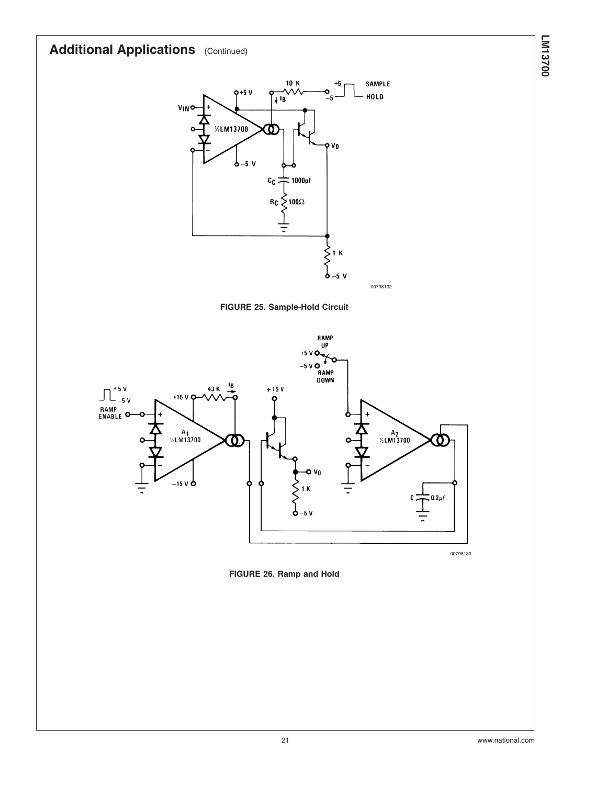<span id="page-20-0"></span>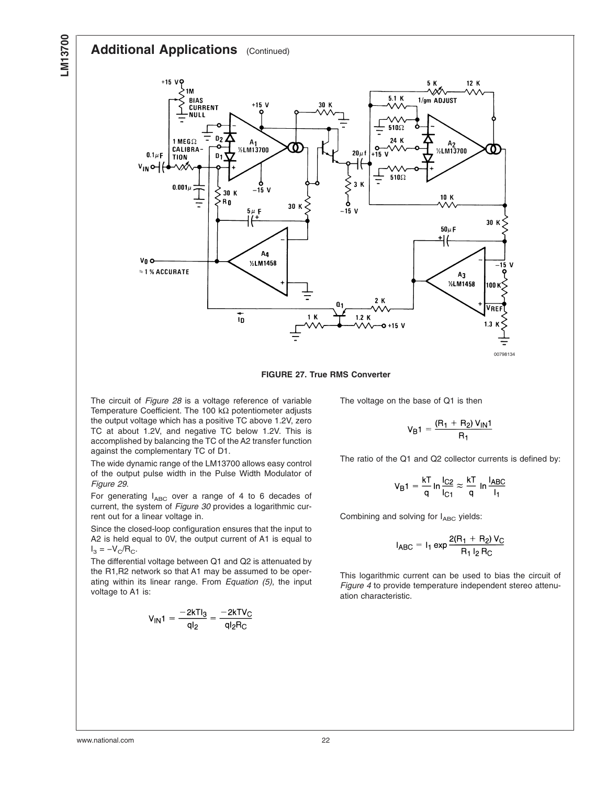<span id="page-21-0"></span>

**FIGURE 27. True RMS Converter**

The circuit of *[Figure 28](#page-22-0)* is a voltage reference of variable Temperature Coefficient. The 100 kΩ potentiometer adjusts the output voltage which has a positive TC above 1.2V, zero TC at about 1.2V, and negative TC below 1.2V. This is accomplished by balancing the TC of the A2 transfer function against the complementary TC of D1.

The wide dynamic range of the LM13700 allows easy control of the output pulse width in the Pulse Width Modulator of *[Figure 29](#page-22-0)*.

For generating  $I_{ABC}$  over a range of 4 to 6 decades of current, the system of *[Figure 30](#page-23-0)* provides a logarithmic current out for a linear voltage in.

Since the closed-loop configuration ensures that the input to A2 is held equal to 0V, the output current of A1 is equal to  $I_3 = -V_C/R_C$ .

The differential voltage between Q1 and Q2 is attenuated by the R1,R2 network so that A1 may be assumed to be operating within its linear range. From *[Equation \(5\)](#page-6-0)*, the input voltage to A1 is:

$$
V_{IN}1 = \frac{-2kTl_3}{ql_2} = \frac{-2kTV_C}{ql_2R_C}
$$

The voltage on the base of Q1 is then

$$
V_{B}1 = \frac{(R_1 + R_2) V_{IN}1}{R_1}
$$

The ratio of the Q1 and Q2 collector currents is defined by:

$$
V_{B}1 = \frac{kT}{q} \ln \frac{I_{C2}}{I_{C1}} \approx \frac{kT}{q} \ln \frac{I_{ABC}}{I_1}
$$

Combining and solving for  $I_{ABC}$  yields:

$$
I_{ABC} = I_1 \exp \frac{2(R_1 + R_2) V_C}{R_1 I_2 R_C}
$$

This logarithmic current can be used to bias the circuit of *[Figure 4](#page-9-0)* to provide temperature independent stereo attenuation characteristic.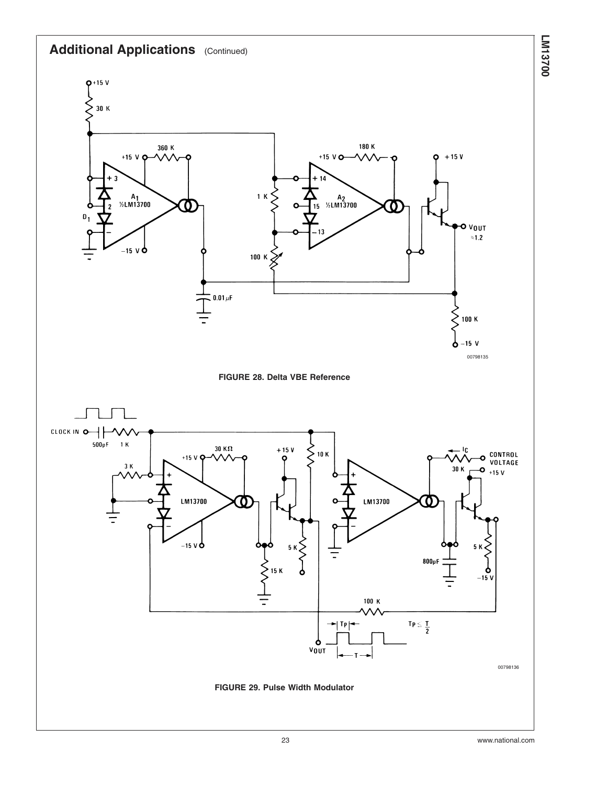<span id="page-22-0"></span>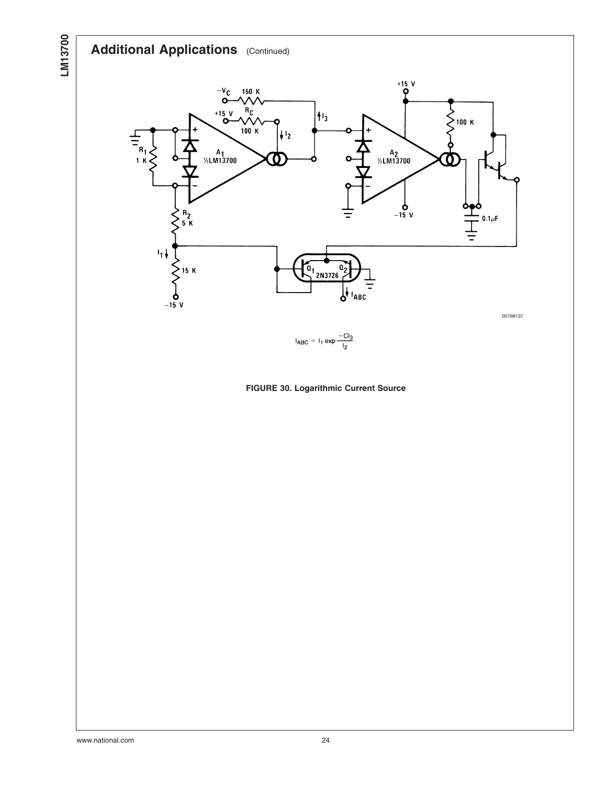<span id="page-23-0"></span>



 $I_{ABC} = I_1 exp \frac{-Cl_3}{I_2}$ 

**FIGURE 30. Logarithmic Current Source**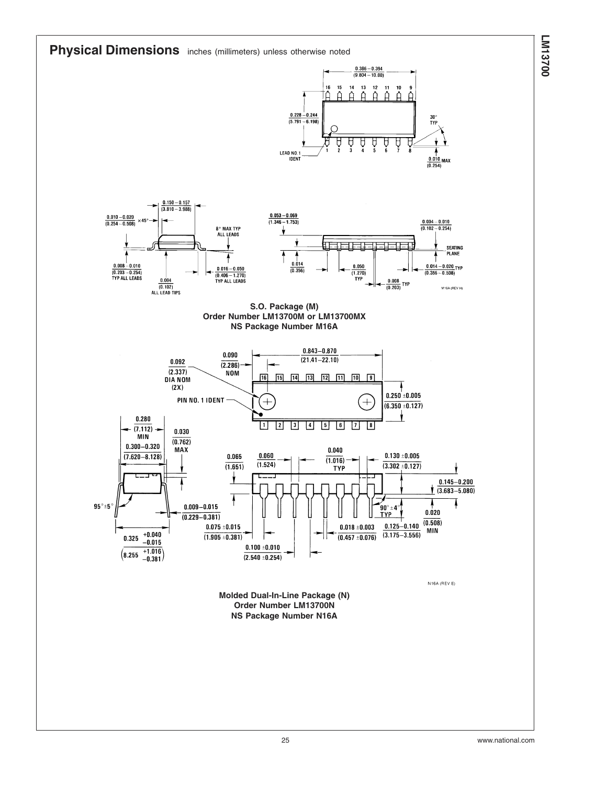